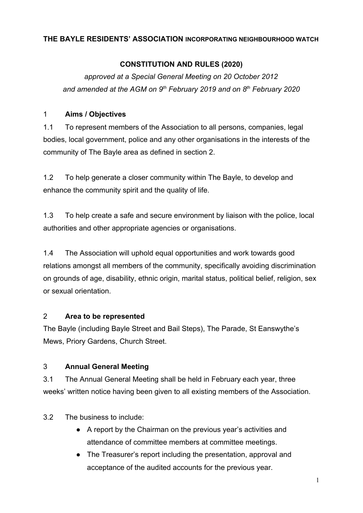#### **THE BAYLE RESIDENTS' ASSOCIATION INCORPORATING NEIGHBOURHOOD WATCH**

## **CONSTITUTION AND RULES (2020)**

*approved at a Special General Meeting on 20 October 2012 and amended at the AGM on 9th February 2019 and on 8th February 2020*

#### 1 **Aims / Objectives**

1.1 To represent members of the Association to all persons, companies, legal bodies, local government, police and any other organisations in the interests of the community of The Bayle area as defined in section 2.

1.2 To help generate a closer community within The Bayle, to develop and enhance the community spirit and the quality of life.

1.3 To help create a safe and secure environment by liaison with the police, local authorities and other appropriate agencies or organisations.

1.4 The Association will uphold equal opportunities and work towards good relations amongst all members of the community, specifically avoiding discrimination on grounds of age, disability, ethnic origin, marital status, political belief, religion, sex or sexual orientation.

## 2 **Area to be represented**

The Bayle (including Bayle Street and Bail Steps), The Parade, St Eanswythe's Mews, Priory Gardens, Church Street.

## 3 **Annual General Meeting**

3.1 The Annual General Meeting shall be held in February each year, three weeks' written notice having been given to all existing members of the Association.

3.2 The business to include:

- A report by the Chairman on the previous year's activities and attendance of committee members at committee meetings.
- The Treasurer's report including the presentation, approval and acceptance of the audited accounts for the previous year.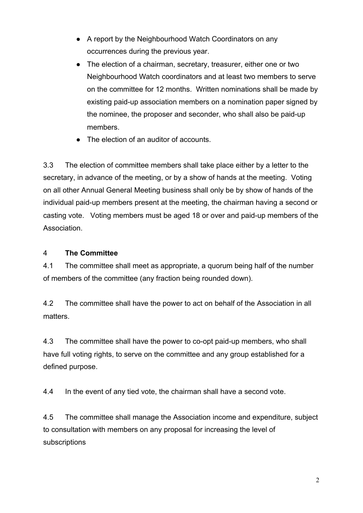- A report by the Neighbourhood Watch Coordinators on any occurrences during the previous year.
- The election of a chairman, secretary, treasurer, either one or two Neighbourhood Watch coordinators and at least two members to serve on the committee for 12 months. Written nominations shall be made by existing paid-up association members on a nomination paper signed by the nominee, the proposer and seconder, who shall also be paid-up members.
- The election of an auditor of accounts.

3.3 The election of committee members shall take place either by a letter to the secretary, in advance of the meeting, or by a show of hands at the meeting. Voting on all other Annual General Meeting business shall only be by show of hands of the individual paid-up members present at the meeting, the chairman having a second or casting vote. Voting members must be aged 18 or over and paid-up members of the **Association** 

#### 4 **The Committee**

4.1 The committee shall meet as appropriate, a quorum being half of the number of members of the committee (any fraction being rounded down).

4.2 The committee shall have the power to act on behalf of the Association in all matters.

4.3 The committee shall have the power to co-opt paid-up members, who shall have full voting rights, to serve on the committee and any group established for a defined purpose.

4.4 In the event of any tied vote, the chairman shall have a second vote.

4.5 The committee shall manage the Association income and expenditure, subject to consultation with members on any proposal for increasing the level of subscriptions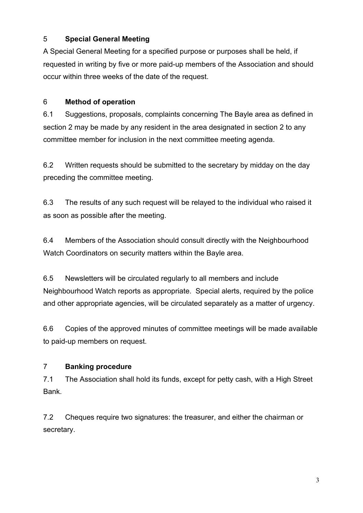## 5 **Special General Meeting**

A Special General Meeting for a specified purpose or purposes shall be held, if requested in writing by five or more paid-up members of the Association and should occur within three weeks of the date of the request.

# 6 **Method of operation**

6.1 Suggestions, proposals, complaints concerning The Bayle area as defined in section 2 may be made by any resident in the area designated in section 2 to any committee member for inclusion in the next committee meeting agenda.

6.2 Written requests should be submitted to the secretary by midday on the day preceding the committee meeting.

6.3 The results of any such request will be relayed to the individual who raised it as soon as possible after the meeting.

6.4 Members of the Association should consult directly with the Neighbourhood Watch Coordinators on security matters within the Bayle area.

6.5 Newsletters will be circulated regularly to all members and include Neighbourhood Watch reports as appropriate. Special alerts, required by the police and other appropriate agencies, will be circulated separately as a matter of urgency.

6.6 Copies of the approved minutes of committee meetings will be made available to paid-up members on request.

# 7 **Banking procedure**

7.1 The Association shall hold its funds, except for petty cash, with a High Street Bank.

7.2 Cheques require two signatures: the treasurer, and either the chairman or secretary.